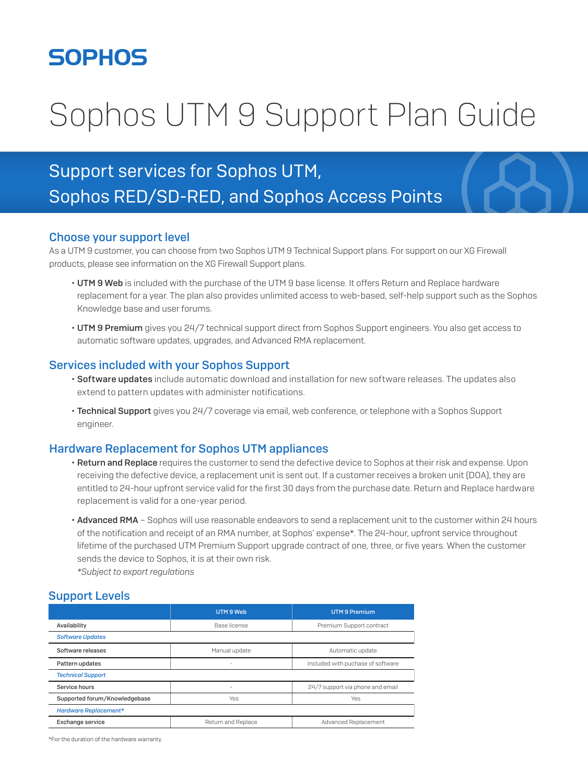## **SOPHOS**

# Sophos UTM 9 Support Plan Guide

### Support services for Sophos UTM, Sophos RED/SD-RED, and Sophos Access Points

#### Choose your support level

As a UTM 9 customer, you can choose from two Sophos UTM 9 Technical Support plans. For support on our XG Firewall products, please see information on the XG Firewall Support plans.

- UTM 9 Web is included with the purchase of the UTM 9 base license. It offers Return and Replace hardware replacement for a year. The plan also provides unlimited access to web-based, self-help support such as the Sophos Knowledge base and user forums.
- UTM 9 Premium gives you 24/7 technical support direct from Sophos Support engineers. You also get access to automatic software updates, upgrades, and Advanced RMA replacement.

#### Services included with your Sophos Support

- Software updates include automatic download and installation for new software releases. The updates also extend to pattern updates with administer notifications.
- Technical Support gives you 24/7 coverage via email, web conference, or telephone with a Sophos Support engineer.

#### Hardware Replacement for Sophos UTM appliances

- Return and Replace requires the customer to send the defective device to Sophos at their risk and expense. Upon receiving the defective device, a replacement unit is sent out. If a customer receives a broken unit (DOA), they are entitled to 24-hour upfront service valid for the first 30 days from the purchase date. Return and Replace hardware replacement is valid for a one-year period.
- Advanced RMA Sophos will use reasonable endeavors to send a replacement unit to the customer within 24 hours of the notification and receipt of an RMA number, at Sophos' expense\*. The 24-hour, upfront service throughout lifetime of the purchased UTM Premium Support upgrade contract of one, three, or five years. When the customer sends the device to Sophos, it is at their own risk. *\*Subject to export regulations*

#### Support Levels

|                               | UTM 9 Web          | <b>UTM 9 Premium</b>              |
|-------------------------------|--------------------|-----------------------------------|
| Availability                  | Base license       | Premium Support contract          |
| <b>Software Updates</b>       |                    |                                   |
| Software releases             | Manual update      | Automatic update                  |
| Pattern updates               | $\sim$             | Included with puchase of software |
| <b>Technical Support</b>      |                    |                                   |
| Service hours                 | $\sim$             | 24/7 support via phone and email  |
| Supported forum/Knowledgebase | Yes                | Yes                               |
| <b>Hardware Replacement*</b>  |                    |                                   |
| Exchange service              | Return and Replace | Advanced Replacement              |

\*For the duration of the hardware warranty.